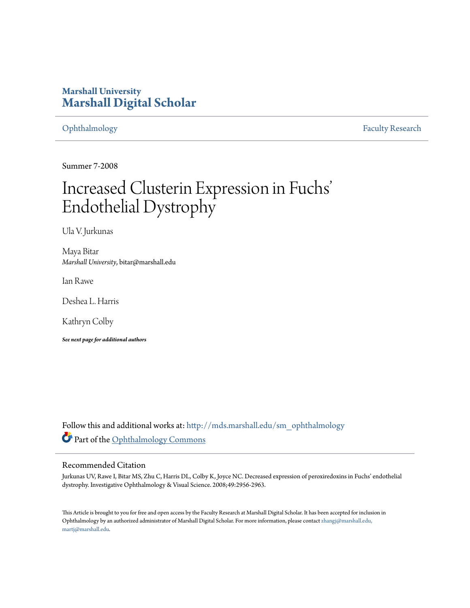## **Marshall University [Marshall Digital Scholar](http://mds.marshall.edu?utm_source=mds.marshall.edu%2Fsm_ophthalmology%2F9&utm_medium=PDF&utm_campaign=PDFCoverPages)**

[Ophthalmology](http://mds.marshall.edu/sm_ophthalmology?utm_source=mds.marshall.edu%2Fsm_ophthalmology%2F9&utm_medium=PDF&utm_campaign=PDFCoverPages) [Faculty Research](http://mds.marshall.edu/sm_faculty?utm_source=mds.marshall.edu%2Fsm_ophthalmology%2F9&utm_medium=PDF&utm_campaign=PDFCoverPages)

Summer 7-2008

# Increased Clusterin Expression in Fuchs' Endothelial Dystrophy

Ula V. Jurkunas

Maya Bitar *Marshall University*, bitar@marshall.edu

Ian Rawe

Deshea L. Harris

Kathryn Colby

*See next page for additional authors*

Follow this and additional works at: [http://mds.marshall.edu/sm\\_ophthalmology](http://mds.marshall.edu/sm_ophthalmology?utm_source=mds.marshall.edu%2Fsm_ophthalmology%2F9&utm_medium=PDF&utm_campaign=PDFCoverPages) Part of the [Ophthalmology Commons](http://network.bepress.com/hgg/discipline/695?utm_source=mds.marshall.edu%2Fsm_ophthalmology%2F9&utm_medium=PDF&utm_campaign=PDFCoverPages)

### Recommended Citation

Jurkunas UV, Rawe I, Bitar MS, Zhu C, Harris DL, Colby K, Joyce NC. Decreased expression of peroxiredoxins in Fuchs' endothelial dystrophy. Investigative Ophthalmology & Visual Science. 2008;49:2956-2963.

This Article is brought to you for free and open access by the Faculty Research at Marshall Digital Scholar. It has been accepted for inclusion in Ophthalmology by an authorized administrator of Marshall Digital Scholar. For more information, please contact [zhangj@marshall.edu,](mailto:zhangj@marshall.edu,%20martj@marshall.edu) [martj@marshall.edu](mailto:zhangj@marshall.edu,%20martj@marshall.edu).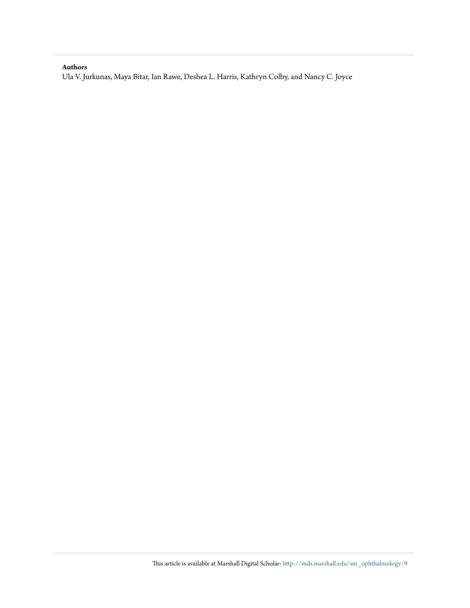#### **Authors**

Ula V. Jurkunas, Maya Bitar, Ian Rawe, Deshea L. Harris, Kathryn Colby, and Nancy C. Joyce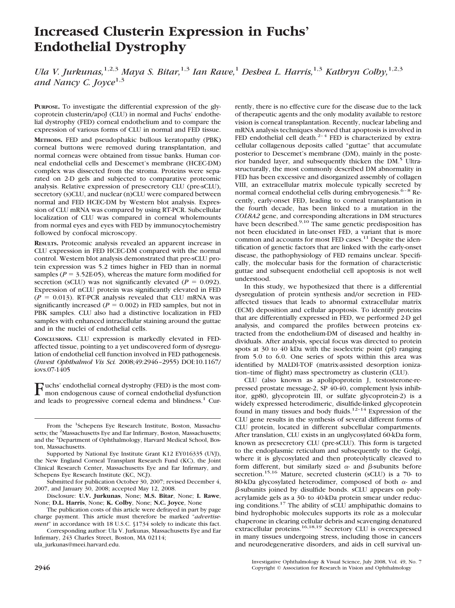# **Increased Clusterin Expression in Fuchs' Endothelial Dystrophy**

*Ula V. Jurkunas,*1,2,3 *Maya S. Bitar,*1,3 *Ian Rawe,*<sup>1</sup> *Deshea L. Harris,*1,3 *Kathryn Colby,*1,2,3 *and Nancy C. Joyce*<sup>1,3</sup>

**PURPOSE.** To investigate the differential expression of the glycoprotein clusterin/apoJ (CLU) in normal and Fuchs' endothelial dystrophy (FED) corneal endothelium and to compare the expression of various forms of CLU in normal and FED tissue.

**METHODS.** FED and pseudophakic bullous keratopathy (PBK) corneal buttons were removed during transplantation, and normal corneas were obtained from tissue banks. Human corneal endothelial cells and Descemet's membrane (HCEC-DM) complex was dissected from the stroma. Proteins were separated on 2-D gels and subjected to comparative proteomic analysis. Relative expression of presecretory CLU (pre-sCLU), secretory (s)CLU, and nuclear (n)CLU were compared between normal and FED HCEC-DM by Western blot analysis. Expression of CLU mRNA was compared by using RT-PCR. Subcellular localization of CLU was compared in corneal wholemounts from normal eyes and eyes with FED by immunocytochemistry followed by confocal microscopy.

**RESULTS.** Proteomic analysis revealed an apparent increase in CLU expression in FED HCEC-DM compared with the normal control. Western blot analysis demonstrated that pre-sCLU protein expression was 5.2 times higher in FED than in normal samples ( $P = 3.52E-05$ ), whereas the mature form modified for secretion (sCLU) was not significantly elevated ( $P = 0.092$ ). Expression of nCLU protein was significantly elevated in FED  $(P = 0.013)$ . RT-PCR analysis revealed that CLU mRNA was significantly increased  $(P = 0.002)$  in FED samples, but not in PBK samples. CLU also had a distinctive localization in FED samples with enhanced intracellular staining around the guttae and in the nuclei of endothelial cells.

**CONCLUSIONS.** CLU expression is markedly elevated in FEDaffected tissue, pointing to a yet undiscovered form of dysregulation of endothelial cell function involved in FED pathogenesis. (*Invest Ophthalmol Vis Sci.* 2008;49:2946–2955) DOI:10.1167/ iovs.07-1405

Fuchs' endothelial corneal dystrophy (FED) is the most com-<br>mon endogenous cause of corneal endothelial dysfunction<br>of large the general endotherm and highereal four and leads to progressive corneal edema and blindness.<sup>1</sup> Cur-

Supported by National Eye Institute Grant K12 EY016335 (UVJ), the New England Corneal Transplant Research Fund (KC), the Joint Clinical Research Center, Massachusetts Eye and Ear Infirmary, and Schepens Eye Research Institute (KC, NCJ).

Submitted for publication October 30, 2007; revised December 4, 2007, and January 30, 2008; accepted May 12, 2008.

Disclosure: **U.V. Jurkunas**, None; **M.S. Bitar**, None; **I. Rawe**, None; **D.L. Harris**, None; **K. Colby**, None; **N.C. Joyce**, None

The publication costs of this article were defrayed in part by page charge payment. This article must therefore be marked "*advertise-*

*ment*" in accordance with 18 U.S.C. §1734 solely to indicate this fact. Corresponding author: Ula V. Jurkunas, Massachusetts Eye and Ear Infirmary, 243 Charles Street, Boston, MA 02114;

ula\_jurkunas@meei.harvard.edu.

rently, there is no effective cure for the disease due to the lack of therapeutic agents and the only modality available to restore vision is corneal transplantation. Recently, nuclear labeling and mRNA analysis techniques showed that apoptosis is involved in FED endothelial cell death. $2-4$  FED is characterized by extracellular collagenous deposits called "guttae" that accumulate posterior to Descemet's membrane (DM), mainly in the posterior banded layer, and subsequently thicken the DM.<sup>5</sup> Ultrastructurally, the most commonly described DM abnormality in FED has been excessive and disorganized assembly of collagen VIII, an extracellular matrix molecule typically secreted by normal corneal endothelial cells during embryogenesis.<sup>6–8</sup> Recently, early-onset FED, leading to corneal transplantation in the fourth decade, has been linked to a mutation in the *COL8A2* gene, and corresponding alterations in DM structures have been described. $9,10$  The same genetic predisposition has not been elucidated in late-onset FED, a variant that is more common and accounts for most FED cases.<sup>11</sup> Despite the identification of genetic factors that are linked with the early-onset disease, the pathophysiology of FED remains unclear. Specifically, the molecular basis for the formation of characteristic guttae and subsequent endothelial cell apoptosis is not well understood.

In this study, we hypothesized that there is a differential dysregulation of protein synthesis and/or secretion in FEDaffected tissues that leads to abnormal extracellular matrix (ECM) deposition and cellular apoptosis. To identify proteins that are differentially expressed in FED, we performed 2-D gel analysis, and compared the profiles between proteins extracted from the endothelium-DM of diseased and healthy individuals. After analysis, special focus was directed to protein spots at 30 to 40 kDa with the isoelectric point (pI) ranging from 5.0 to 6.0. One series of spots within this area was identified by MALDI-TOF (matrix-assisted desorption ionization–time of flight) mass spectrometry as clusterin (CLU).

CLU (also known as apolipoprotein J, testosterone-repressed prostate message-2, SP 40-40, complement lysis inhibitor, gp80, glycoprotein III, or sulfate glycoprotein-2) is a widely expressed heterodimeric, disulfide-linked glycoprotein found in many tissues and body fluids.<sup>12–14</sup> Expression of the CLU gene results in the synthesis of several different forms of CLU protein, located in different subcellular compartments. After translation, CLU exists in an unglycosylated 60-kDa form, known as presecretory CLU (pre-sCLU). This form is targeted to the endoplasmic reticulum and subsequently to the Golgi, where it is glycosylated and then proteolytically cleaved to form different, but similarly sized  $\alpha$ - and  $\beta$ -subunits before secretion.<sup>15,16</sup> Mature, secreted clusterin (sCLU) is a 70- to 80-kDa glycosylated heterodimer, composed of both  $\alpha$ - and  $\beta$ -subunits joined by disulfide bonds. sCLU appears on polyacrylamide gels as a 30- to 40-kDa protein smear under reducing conditions.17 The ability of sCLU amphipathic domains to bind hydrophobic molecules supports its role as a molecular chaperone in clearing cellular debris and scavenging denatured extracellular proteins.<sup>16,18,19</sup> Secretory CLU is overexpressed in many tissues undergoing stress, including those in cancers and neurodegenerative disorders, and aids in cell survival un-

From the <sup>1</sup>Schepens Eye Research Institute, Boston, Massachusetts; the <sup>2</sup>Massachusetts Eye and Ear Infirmary, Boston, Massachusetts; and the <sup>3</sup>Department of Ophthalmology, Harvard Medical School, Boston, Massachusetts.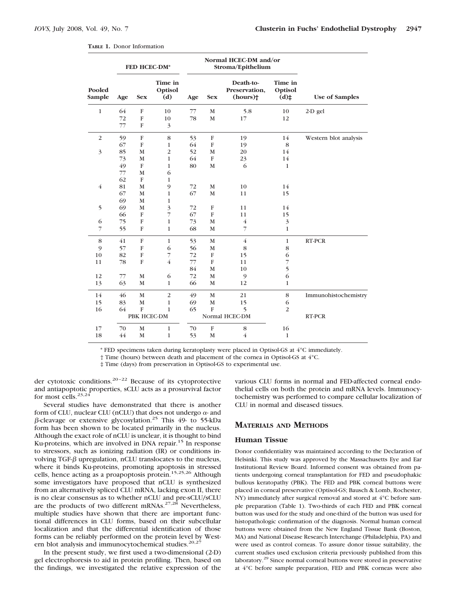|  |  |  | TABLE 1. Donor Information |
|--|--|--|----------------------------|
|--|--|--|----------------------------|

|                  | FED HCEC-DM* |             |                           |                |                | Normal HCEC-DM and/or<br>Stroma/Epithelium         |                           |                       |
|------------------|--------------|-------------|---------------------------|----------------|----------------|----------------------------------------------------|---------------------------|-----------------------|
| Pooled<br>Sample | Age          | <b>Sex</b>  | Time in<br>Optisol<br>(d) | Age            | <b>Sex</b>     | Death-to-<br>Preservation,<br>(hours) <sup>†</sup> | Time in<br>Optisol<br>(d) | <b>Use of Samples</b> |
| $\mathbf{1}$     | 64           | ${\bf F}$   | 10                        | 77             | M              | 5.8                                                | 10                        | 2-D gel               |
|                  | 72           | ${\bf F}$   | 10                        | 78             | $\mathbf M$    | 17                                                 | 12                        |                       |
|                  | 77           | ${\rm F}$   | 3                         |                |                |                                                    |                           |                       |
| $\overline{2}$   | 59           | ${\bf F}$   | 8                         | 53             | ${\bf F}$      | 19                                                 | 14                        | Western blot analysis |
|                  | 67           | F           | $\mathbf{1}$              | 64             | $\mathbf{F}$   | 19                                                 | 8                         |                       |
| 3                | 85           | M           | $\overline{2}$            | 52             | M              | 20                                                 | 14                        |                       |
|                  | 73           | M           | $\mathbf{1}$              | 64             | $\mathbf{F}$   | 23                                                 | 14                        |                       |
|                  | 49           | F           | $\mathbf{1}$              | 80             | M              | 6                                                  | $\mathbf{1}$              |                       |
|                  | 77           | M           | 6                         |                |                |                                                    |                           |                       |
|                  | 62           | F           | 1                         |                |                |                                                    |                           |                       |
| $\overline{4}$   | 81           | M           | 9                         | 72             | M              | 10                                                 | 14                        |                       |
|                  | 67           | $\mathbf M$ | $\mathbf{1}$              | 67             | M              | 11                                                 | 15                        |                       |
|                  | 69           | M           | $\mathbf{1}$              |                |                |                                                    |                           |                       |
| 5                | 69           | M           | 3                         | 72             | ${\bf F}$      | 11                                                 | 14                        |                       |
|                  | 66           | F           | $\overline{7}$            | 67             | $\overline{F}$ | 11                                                 | 15                        |                       |
| 6                | 75           | ${\bf F}$   | $\mathbf{1}$              | 73             | M              | $\overline{4}$                                     | 3                         |                       |
| 7                | 55           | F           | $\mathbf{1}$              | 68             | M              | $\overline{7}$                                     | $\mathbf{1}$              |                       |
| 8                | 41           | F           | $\mathbf{1}$              | 53             | M              | $\overline{4}$                                     | $\mathbf{1}$              | RT-PCR                |
| 9                | 57           | F           | 6                         | 56             | M              | 8                                                  | 8                         |                       |
| 10               | 82           | ${\bf F}$   | 7                         | 72             | $\mathbf{F}$   | 15                                                 | 6                         |                       |
| 11               | 78           | ${\bf F}$   | $\overline{4}$            | 77             | $\overline{F}$ | 11                                                 | 7                         |                       |
|                  |              |             |                           | 84             | M              | 10                                                 | 5                         |                       |
| 12               | 77           | $\mathbf M$ | 6                         | 72             | M              | 9                                                  | 6                         |                       |
| 13               | 63           | $\mathbf M$ | 1                         | 66             | M              | 12                                                 | 1                         |                       |
| 14               | 46           | M           | 2                         | 49             | $\mathbf{M}$   | 21                                                 | $\,$ 8 $\,$               | Immunohistochemistry  |
| 15               | 83           | M           | $\mathbf{1}$              | 69             | M              | 15                                                 | 6                         |                       |
| 16               | 64           | F           | 1                         | 65             | $\mathbf{F}$   | 5                                                  | $\overline{c}$            |                       |
|                  |              | PBK HCEC-DM |                           | Normal HCEC-DM |                |                                                    |                           | RT-PCR                |
| 17               | 70           | $\mathbf M$ | $\mathbf{1}$              | 70             | ${\bf F}$      | $\,$ 8 $\,$                                        | 16                        |                       |
| 18               | 44           | $\mathbf M$ | $\mathbf{1}$              | 53             | M              | $\overline{4}$                                     | 1                         |                       |

\* FED specimens taken during keratoplasty were placed in Optisol-GS at 4°C immediately.

† Time (hours) between death and placement of the cornea in Optisol-GS at 4°C.

‡ Time (days) from preservation in Optisol-GS to experimental use.

der cytotoxic conditions.20–22 Because of its cytoprotective and antiapoptotic properties, sCLU acts as a prosurvival factor for most cells.<sup>23,24</sup>

Several studies have demonstrated that there is another form of CLU, nuclear CLU (nCLU) that does not undergo  $\alpha$ - and  $\beta$ -cleavage or extensive glycosylation.<sup>25</sup> This 49- to 55-kDa form has been shown to be located primarily in the nucleus. Although the exact role of nCLU is unclear, it is thought to bind Ku-proteins, which are involved in DNA repair.<sup>15</sup> In response to stressors, such as ionizing radiation (IR) or conditions involving TGF- $\beta$  upregulation, nCLU translocates to the nucleus, where it binds Ku-proteins, promoting apoptosis in stressed cells, hence acting as a proapoptosis protein.<sup>15,25,26</sup> Although some investigators have proposed that nCLU is synthesized from an alternatively spliced CLU mRNA, lacking exon II, there is no clear consensus as to whether nCLU and pre-sCLU/sCLU are the products of two different mRNAs.<sup>27,28</sup> Nevertheless, multiple studies have shown that there are important functional differences in CLU forms, based on their subcellular localization and that the differential identification of those forms can be reliably performed on the protein level by Western blot analysis and immunocytochemical studies. $20,27$ 

In the present study, we first used a two-dimensional (2-D) gel electrophoresis to aid in protein profiling. Then, based on the findings, we investigated the relative expression of the

various CLU forms in normal and FED-affected corneal endothelial cells on both the protein and mRNA levels. Immunocytochemistry was performed to compare cellular localization of CLU in normal and diseased tissues.

#### **MATERIALS AND METHODS**

#### **Human Tissue**

Donor confidentiality was maintained according to the Declaration of Helsinki. This study was approved by the Massachusetts Eye and Ear Institutional Review Board. Informed consent was obtained from patients undergoing corneal transplantation for FED and pseudophakic bullous keratopathy (PBK). The FED and PBK corneal buttons were placed in corneal preservative (Optisol-GS; Bausch & Lomb, Rochester, NY) immediately after surgical removal and stored at 4°C before sample preparation (Table 1). Two-thirds of each FED and PBK corneal button was used for the study and one-third of the button was used for histopathologic confirmation of the diagnosis. Normal human corneal buttons were obtained from the New England Tissue Bank (Boston, MA) and National Disease Research Interchange (Philadelphia, PA) and were used as control corneas. To assure donor tissue suitability, the current studies used exclusion criteria previously published from this laboratory.29 Since normal corneal buttons were stored in preservative at 4°C before sample preparation, FED and PBK corneas were also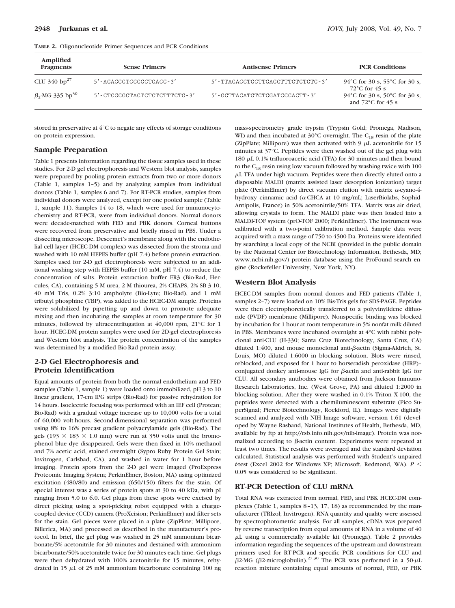|  | TABLE 2. Oligonucleotide Primer Sequences and PCR Conditions |  |  |  |  |  |
|--|--------------------------------------------------------------|--|--|--|--|--|
|--|--------------------------------------------------------------|--|--|--|--|--|

| Amplified<br>Fragments               | <b>Sense Primers</b>         | <b>Antisense Primers</b>         | <b>PCR Conditions</b>                                          |
|--------------------------------------|------------------------------|----------------------------------|----------------------------------------------------------------|
| CLU 340 $bp^{27}$                    | 5'-ACAGGGTGCCGCTGACC-3'      | 5'-TTAGAGCTCCTTCAGCTTTGTCTCTG-3' | 94 °C for 30 s, 55 °C for 30 s,<br>$72^{\circ}$ C for 45 s     |
| $\beta_{2}$ -MG 335 bp <sup>30</sup> | 5'-CTCGCGCTACTCTCTCTTTCTG-3' | 5'-GCTTACATGTCTCGATCCCACTT-3'    | 94 °C for 30 s, 50 °C for 30 s,<br>and $72^{\circ}$ C for 45 s |

stored in preservative at 4°C to negate any effects of storage conditions on protein expression.

#### **Sample Preparation**

Table 1 presents information regarding the tissue samples used in these studies. For 2-D gel electrophoresis and Western blot analysis, samples were prepared by pooling protein extracts from two or more donors (Table 1, samples 1–5) and by analyzing samples from individual donors (Table 1, samples 6 and 7). For RT-PCR studies, samples from individual donors were analyzed, except for one pooled sample (Table 1, sample 11). Samples 14 to 18, which were used for immunocytochemistry and RT-PCR, were from individual donors. Normal donors were decade-matched with FED and PBK donors. Corneal buttons were recovered from preservative and briefly rinsed in PBS. Under a dissecting microscope, Descemet's membrane along with the endothelial cell layer (HCEC-DM complex) was dissected from the stroma and washed with 10 mM HEPES buffer (pH 7.4) before protein extraction. Samples used for 2-D gel electrophoresis were subjected to an additional washing step with HEPES buffer (10 mM, pH 7.4) to reduce the concentration of salts. Protein extraction buffer ER3 (Bio-Rad, Hercules, CA), containing 5 M urea, 2 M thiourea, 2% CHAPS, 2% SB 3-10, 40 mM Tris, 0.2% 3:10 ampholyte (Bio-Lyte; Bio-Rad), and 1 mM tributyl phosphine (TBP), was added to the HCEC-DM sample. Proteins were solubilized by pipetting up and down to promote adequate mixing and then incubating the samples at room temperature for 30 minutes, followed by ultracentrifugation at 40,000 rpm, 21°C for 1 hour. HCEC-DM protein samples were used for 2D-gel electrophoresis and Western blot analysis. The protein concentration of the samples was determined by a modified Bio-Rad protein assay.

#### **2-D Gel Electrophoresis and Protein Identification**

Equal amounts of protein from both the normal endothelium and FED samples (Table 1, sample 1) were loaded onto immobilized, pH 3 to 10 linear gradient, 17-cm IPG strips (Bio-Rad) for passive rehydration for 14 hours. Isoelectric focusing was performed with an IEF cell (Protean; Bio-Rad) with a gradual voltage increase up to 10,000 volts for a total of 60,000 volt-hours. Second-dimensional separation was performed using 8% to 16% precast gradient polyacrylamide gels (Bio-Rad). The gels (193  $\times$  183  $\times$  1.0 mm) were run at 350 volts until the bromophenol blue dye disappeared. Gels were then fixed in 10% methanol and 7% acetic acid, stained overnight (Sypro Ruby Protein Gel Stain; Invitrogen, Carlsbad, CA), and washed in water for 1 hour before imaging. Protein spots from the 2-D gel were imaged (ProExpress Proteomic Imaging System; PerkinElmer, Boston, MA) using optimized excitation (480/80) and emission (650/150) filters for the stain. Of special interest was a series of protein spots at 30 to 40 kDa, with pI ranging from 5.0 to 6.0. Gel plugs from these spots were excised by direct picking using a spot-picking robot equipped with a chargecoupled device (CCD) camera (ProXcision; PerkinElmer) and filter sets for the stain. Gel pieces were placed in a plate (ZipPlate; Millipore, Billerica, MA) and processed as described in the manufacturer's protocol. In brief, the gel plug was washed in 25 mM ammonium bicarbonate/5% acetonitrile for 30 minutes and destained with ammonium bicarbonate/50% acetonitrile twice for 30 minutes each time. Gel plugs were then dehydrated with 100% acetonitrile for 15 minutes, rehydrated in 15  $\mu$ L of 25 mM ammonium bicarbonate containing 100 ng

mass-spectrometry grade trypsin (Trypsin Gold; Promega, Madison, WI) and then incubated at  $30^{\circ}$ C overnight. The C<sub>18</sub> resin of the plate (ZipPlate; Millipore) was then activated with 9  $\mu$ L acetonitrile for 15 minutes at 37°C. Peptides were then washed out of the gel plug with 180  $\mu$ L 0.1% trifluoroacetic acid (TFA) for 30 minutes and then bound to the  $C_{18}$  resin using low vacuum followed by washing twice with 100 L TFA under high vacuum. Peptides were then directly eluted onto a disposable MALDI (matrix assisted laser desorption ionization) target plate (PerkinElmer) by direct vacuum elution with matrix  $\alpha$ -cyano-4hydroxy cinnamic acid ( $\alpha$ -CHCA at 10 mg/mL; LaserBiolabs, Sophid-Antipolis, France) in 50% acetonitrile/50% TFA. Matrix was air dried, allowing crystals to form. The MALDI plate was then loaded into a MALDI-TOF system (prO-TOF 2000; PerkinElmer). The instrument was calibrated with a two-point calibration method. Sample data were acquired with a mass range of 750 to 4500 Da. Proteins were identified by searching a local copy of the NCBI (provided in the public domain by the National Center for Biotechnology Information, Bethesda, MD; www.ncbi.nih.gov/) protein database using the ProFound search engine (Rockefeller University, New York, NY).

#### **Western Blot Analysis**

HCEC-DM samples from normal donors and FED patients (Table 1, samples 2–7) were loaded on 10% Bis-Tris gels for SDS-PAGE. Peptides were then electrophoretically transferred to a polyvinylidene difluoride (PVDF) membrane (Millipore). Nonspecific binding was blocked by incubation for 1 hour at room temperature in 5% nonfat milk diluted in PBS. Membranes were incubated overnight at 4°C with rabbit polyclonal anti-CLU (H-330; Santa Cruz Biotechnology, Santa Cruz, CA) diluted 1:400, and mouse monoclonal anti- $\beta$ -actin (Sigma-Aldrich, St. Louis, MO) diluted 1:6000 in blocking solution. Blots were rinsed, reblocked, and exposed for 1 hour to horseradish peroxidase (HRP)– conjugated donkey anti-mouse IgG for  $\beta$ -actin and anti-rabbit IgG for CLU. All secondary antibodies were obtained from Jackson Immuno-Research Laboratories, Inc. (West Grove, PA) and diluted 1:2000 in blocking solution. After they were washed in 0.1% Triton X-100, the peptides were detected with a chemiluminescent substrate (Pico SuperSignal; Pierce Biotechnology, Rockford, IL). Images were digitally scanned and analyzed with NIH Image software, version 1.61 (developed by Wayne Rasband, National Institutes of Health, Bethesda, MD, available by ftp at http://rsb.info.nih.gov/nih-image). Protein was normalized according to  $\beta$ -actin content. Experiments were repeated at least two times. The results were averaged and the standard deviation calculated. Statistical analysis was performed with Student's unpaired *t*-test (Excel 2002 for Windows XP; Microsoft, Redmond, WA). *P* 0.05 was considered to be significant.

#### **RT-PCR Detection of CLU mRNA**

Total RNA was extracted from normal, FED, and PBK HCEC-DM complexes (Table 1, samples 8–13, 17, 18) as recommended by the manufacturer (TRIzol; Invitrogen). RNA quantity and quality were assessed by spectrophotometric analysis. For all samples, cDNA was prepared by reverse transcription from equal amounts of RNA in a volume of 40  $\mu$ L using a commercially available kit (Promega). Table 2 provides information regarding the sequences of the upstream and downstream primers used for RT-PCR and specific PCR conditions for CLU and  $\beta$ 2-MG ( $\beta$ 2-microglobulin).<sup>27,30</sup> The PCR was performed in a 50- $\mu$ L reaction mixture containing equal amounts of normal, FED, or PBK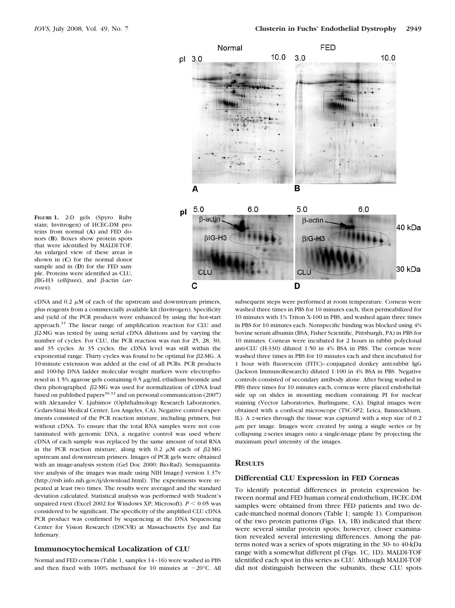

**FIGURE 1.** 2-D gels (Spyro Ruby stain; Invitrogen) of HCEC-DM proteins from normal (**A**) and FED donors (**B**). Boxes show protein spots that were identified by MALDI-TOF. An enlarged view of these areas is shown in (**C**) for the normal donor sample and in (**D**) for the FED sample. Proteins were identified as CLU, βIG-H3 (ellipses), and β-actin (ar*rows*).

cDNA and  $0.2 \mu$ M of each of the upstream and downstream primers, plus reagents from a commercially available kit (Invitrogen). Specificity and yield of the PCR products were enhanced by using the hot-start approach.31 The linear range of amplification reaction for CLU and -2-MG was tested by using serial cDNA dilutions and by varying the number of cycles. For CLU, the PCR reaction was run for 25, 28, 30, and 35 cycles. At 35 cycles, the cDNA level was still within the exponential range. Thirty cycles was found to be optimal for  $\beta$ 2-MG. A 10-minute extension was added at the end of all PCRs. PCR products and 100-bp DNA ladder molecular weight markers were electrophoresed in 1.5% agarose gels containing  $0.5 \mu g/mL$  ethidium bromide and then photographed.  $\beta$ 2-MG was used for normalization of cDNA load based on published papers $30,32$  and on personal communication (2007) with Alexander V. Ljubimov (Ophthalmology Research Laboratories, Cedars-Sinai Medical Center, Los Angeles, CA). Negative control experiments consisted of the PCR reaction mixture, including primers, but without cDNA. To ensure that the total RNA samples were not contaminated with genomic DNA, a negative control was used where cDNA of each sample was replaced by the same amount of total RNA in the PCR reaction mixture, along with 0.2  $\mu$ M each of  $\beta$ 2-MG upstream and downstream primers. Images of PCR gels were obtained with an image-analysis system (Gel Doc 2000; Bio-Rad). Semiquantitative analysis of the images was made using NIH Image-J version 1.37v (http://rsb.info.nih.gov/ij/download.html). The experiments were repeated at least two times. The results were averaged and the standard deviation calculated. Statistical analysis was performed with Student's unpaired *t*-test (Excel 2002 for Windows XP; Microsoft).  $P \le 0.05$  was considered to be significant. The specificity of the amplified CLU cDNA PCR product was confirmed by sequencing at the DNA Sequencing Center for Vision Research (DSCVR) at Massachusetts Eye and Ear Infirmary.

#### **Immunocytochemical Localization of CLU**

Normal and FED corneas (Table 1, samples 14–16) were washed in PBS and then fixed with 100% methanol for 10 minutes at  $-20^{\circ}$ C. All subsequent steps were performed at room temperature. Corneas were washed three times in PBS for 10 minutes each, then permeabilized for 10 minutes with 1% Triton X-100 in PBS, and washed again three times in PBS for 10 minutes each. Nonspecific binding was blocked using 4% bovine serum albumin (BSA; Fisher Scientific, Pittsburgh, PA) in PBS for 10 minutes. Corneas were incubated for 2 hours in rabbit polyclonal anti-CLU (H-330) diluted 1:50 in 4% BSA in PBS. The corneas were washed three times in PBS for 10 minutes each and then incubated for 1 hour with fluorescein (FITC)–conjugated donkey anti-rabbit IgG (Jackson ImmunoResearch) diluted 1:100 in 4% BSA in PBS. Negative controls consisted of secondary antibody alone. After being washed in PBS three times for 10 minutes each, corneas were placed endothelialside up on slides in mounting medium containing PI for nuclear staining (Vector Laboratories, Burlingame, CA). Digital images were obtained with a confocal microscope (TSC-SP2; Leica, Bannockburn, IL). A *z*-series through the tissue was captured with a step size of 0.2 m per image. Images were created by using a single series or by collapsing *z*-series images onto a single-image plane by projecting the maximum pixel intensity of the images.

#### **RESULTS**

#### **Differential CLU Expression in FED Corneas**

To identify potential differences in protein expression between normal and FED human corneal endothelium, HCEC-DM samples were obtained from three FED patients and two decade-matched normal donors (Table 1; sample 1). Comparison of the two protein patterns (Figs. 1A, 1B) indicated that there were several similar protein spots; however, closer examination revealed several interesting differences. Among the patterns noted was a series of spots migrating in the 30- to 40-kDa range with a somewhat different pI (Figs. 1C, 1D). MALDI-TOF identified each spot in this series as CLU. Although MALDI-TOF did not distinguish between the subunits, these CLU spots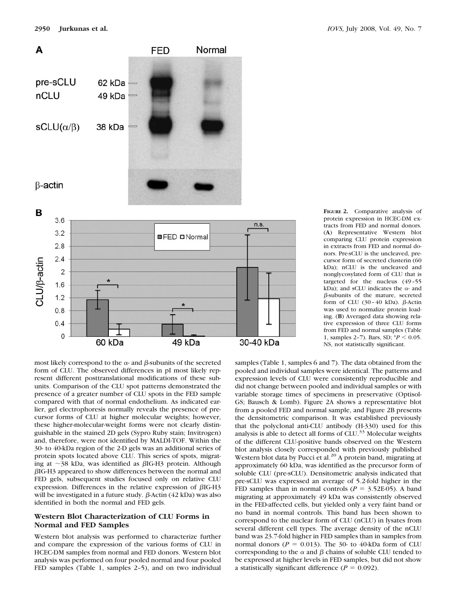



**FIGURE 2.** Comparative analysis of protein expression in HCEC-DM extracts from FED and normal donors. (**A**) Representative Western blot comparing CLU protein expression in extracts from FED and normal donors. Pre-sCLU is the uncleaved, precursor form of secreted clusterin (60 kDa); nCLU is the uncleaved and nonglycosylated form of CLU that is targeted for the nucleus (49–55 kDa); and sCLU indicates the  $\alpha$ - and β-subunits of the mature, secreted form of CLU  $(30 - 40 \text{ kDa})$ .  $\beta$ -Actin was used to normalize protein loading. (**B**) Averaged data showing relative expression of three CLU forms from FED and normal samples (Table 1, samples 2-7). Bars, SD;  $^{*}P$  < 0.05. NS, not statistically significant.

most likely correspond to the  $\alpha$ - and  $\beta$ -subunits of the secreted form of CLU. The observed differences in pI most likely represent different posttranslational modifications of these subunits. Comparison of the CLU spot patterns demonstrated the presence of a greater number of CLU spots in the FED sample compared with that of normal endothelium. As indicated earlier, gel electrophoresis normally reveals the presence of precursor forms of CLU at higher molecular weights; however, these higher-molecular-weight forms were not clearly distinguishable in the stained 2D gels (Sypro Ruby stain; Invitrogen) and, therefore, were not identified by MALDI-TOF. Within the 30- to 40-kDa region of the 2-D gels was an additional series of protein spots located above CLU. This series of spots, migrating at  $\sim$ 38 kDa, was identified as  $\beta$ IG-H3 protein. Although -IG-H3 appeared to show differences between the normal and FED gels, subsequent studies focused only on relative CLU expression. Differences in the relative expression of  $\beta$ IG-H3 will be investigated in a future study.  $\beta$ -Actin (42 kDa) was also identified in both the normal and FED gels.

#### **Western Blot Characterization of CLU Forms in Normal and FED Samples**

Western blot analysis was performed to characterize further and compare the expression of the various forms of CLU in HCEC-DM samples from normal and FED donors. Western blot analysis was performed on four pooled normal and four pooled FED samples (Table 1, samples 2–5), and on two individual

samples (Table 1, samples 6 and 7). The data obtained from the pooled and individual samples were identical. The patterns and expression levels of CLU were consistently reproducible and did not change between pooled and individual samples or with variable storage times of specimens in preservative (Optisol-GS; Bausch & Lomb). Figure 2A shows a representative blot from a pooled FED and normal sample, and Figure 2B presents the densitometric comparison. It was established previously that the polyclonal anti-CLU antibody (H-330) used for this analysis is able to detect all forms of CLU.<sup>33</sup> Molecular weights of the different CLU-positive bands observed on the Western blot analysis closely corresponded with previously published Western blot data by Pucci et al.<sup>20</sup> A protein band, migrating at approximately 60 kDa, was identified as the precursor form of soluble CLU (pre-sCLU). Densitometric analysis indicated that pre-sCLU was expressed an average of 5.2-fold higher in the FED samples than in normal controls ( $P = 3.52E-05$ ). A band migrating at approximately 49 kDa was consistently observed in the FED-affected cells, but yielded only a very faint band or no band in normal controls. This band has been shown to correspond to the nuclear form of CLU (nCLU) in lysates from several different cell types. The average density of the nCLU band was 23.7-fold higher in FED samples than in samples from normal donors ( $P = 0.013$ ). The 30- to 40-kDa form of CLU corresponding to the  $\alpha$  and  $\beta$  chains of soluble CLU tended to be expressed at higher levels in FED samples, but did not show a statistically significant difference ( $P = 0.092$ ).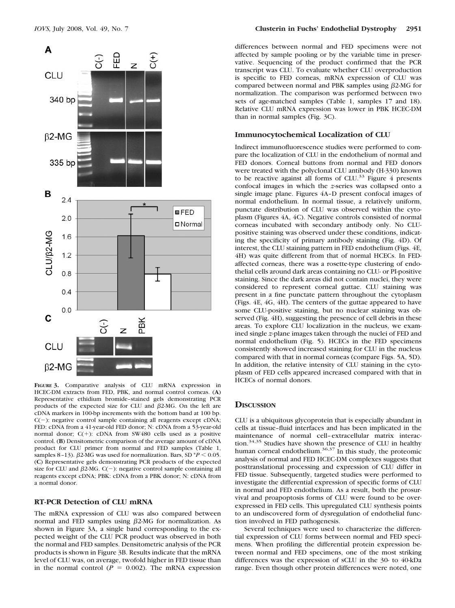

**FIGURE 3.** Comparative analysis of CLU mRNA expression in HCEC-DM extracts from FED, PBK, and normal control corneas. (**A**) Representative ethidium bromide–stained gels demonstrating PCR products of the expected size for CLU and  $\beta$ 2-MG. On the left are cDNA markers in 100-bp increments with the bottom band at 100 bp.  $C(-)$ : negative control sample containing all reagents except cDNA; FED: cDNA from a 41-year-old FED donor; N: cDNA from a 53-year-old normal donor;  $C(+)$ : cDNA from SW480 cells used as a positive control. (**B**) Densitometric comparison of the average amount of cDNA product for CLU primer from normal and FED samples (Table 1, samples 8-13).  $\beta$ 2-MG was used for normalization. Bars, SD  $^*P$  < 0.05. (**C**) Representative gels demonstrating PCR products of the expected size for CLU and  $\beta$ 2-MG. C(-): negative control sample containing all reagents except cDNA; PBK: cDNA from a PBK donor; N: cDNA from a normal donor.

#### **RT-PCR Detection of CLU mRNA**

The mRNA expression of CLU was also compared between normal and FED samples using  $\beta$ 2-MG for normalization. As shown in Figure 3A, a single band corresponding to the expected weight of the CLU PCR product was observed in both the normal and FED samples. Densitometric analysis of the PCR products is shown in Figure 3B. Results indicate that the mRNA level of CLU was, on average, twofold higher in FED tissue than in the normal control  $(P = 0.002)$ . The mRNA expression

differences between normal and FED specimens were not affected by sample pooling or by the variable time in preservative. Sequencing of the product confirmed that the PCR transcript was CLU. To evaluate whether CLU overproduction is specific to FED corneas, mRNA expression of CLU was compared between normal and PBK samples using  $\beta$ 2-MG for normalization. The comparison was performed between two sets of age-matched samples (Table 1, samples 17 and 18). Relative CLU mRNA expression was lower in PBK HCEC-DM than in normal samples (Fig. 3C).

#### **Immunocytochemical Localization of CLU**

Indirect immunofluorescence studies were performed to compare the localization of CLU in the endothelium of normal and FED donors. Corneal buttons from normal and FED donors were treated with the polyclonal CLU antibody (H-330) known to be reactive against all forms of  $CLU<sup>33</sup>$  Figure 4 presents confocal images in which the *z*-series was collapsed onto a single image plane. Figures 4A–D present confocal images of normal endothelium. In normal tissue, a relatively uniform, punctate distribution of CLU was observed within the cytoplasm (Figures 4A, 4C). Negative controls consisted of normal corneas incubated with secondary antibody only. No CLUpositive staining was observed under these conditions, indicating the specificity of primary antibody staining (Fig. 4D). Of interest, the CLU staining pattern in FED endothelium (Figs. 4E, 4H) was quite different from that of normal HCECs. In FEDaffected corneas, there was a rosette-type clustering of endothelial cells around dark areas containing no CLU- or PI-positive staining. Since the dark areas did not contain nuclei, they were considered to represent corneal guttae. CLU staining was present in a fine punctate pattern throughout the cytoplasm (Figs. 4E, 4G, 4H). The centers of the guttae appeared to have some CLU-positive staining, but no nuclear staining was observed (Fig. 4H), suggesting the presence of cell debris in these areas. To explore CLU localization in the nucleus, we examined single *z*-plane images taken through the nuclei of FED and normal endothelium (Fig. 5). HCECs in the FED specimens consistently showed increased staining for CLU in the nucleus compared with that in normal corneas (compare Figs. 5A, 5D). In addition, the relative intensity of CLU staining in the cytoplasm of FED cells appeared increased compared with that in HCECs of normal donors.

#### **DISCUSSION**

CLU is a ubiquitous glycoprotein that is especially abundant in cells at tissue–fluid interfaces and has been implicated in the maintenance of normal cell–extracellular matrix interaction.<sup>34,35</sup> Studies have shown the presence of CLU in healthy human corneal endothelium. $36,37$  In this study, the proteomic analysis of normal and FED HCEC-DM complexes suggests that posttranslational processing and expression of CLU differ in FED tissue. Subsequently, targeted studies were performed to investigate the differential expression of specific forms of CLU in normal and FED endothelium. As a result, both the prosurvival and proapoptosis forms of CLU were found to be overexpressed in FED cells. This upregulated CLU synthesis points to an undiscovered form of dysregulation of endothelial function involved in FED pathogenesis.

Several techniques were used to characterize the differential expression of CLU forms between normal and FED specimens. When profiling the differential protein expression between normal and FED specimens, one of the most striking differences was the expression of sCLU in the 30- to 40-kDa range. Even though other protein differences were noted, one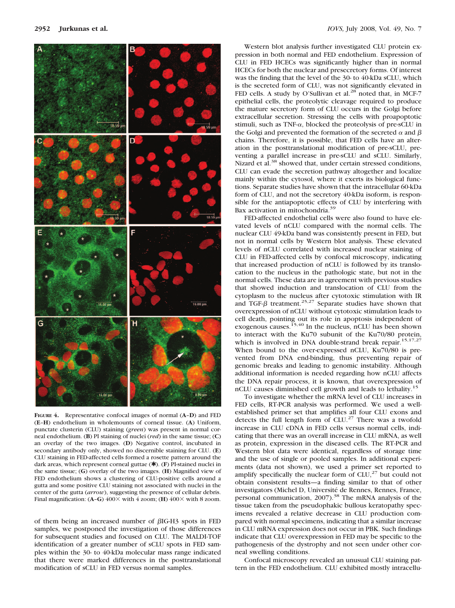

**FIGURE 4.** Representative confocal images of normal (**A**–**D**) and FED (**E**–**H**) endothelium in wholemounts of corneal tissue. (**A**) Uniform, punctate clusterin (CLU) staining (*green*) was present in normal corneal endothelium. (**B**) PI staining of nuclei (*red*) in the same tissue; (**C**) an overlay of the two images. (**D**) Negative control, incubated in secondary antibody only, showed no discernible staining for CLU. (**E**) CLU staining in FED-affected cells formed a rosette pattern around the dark areas, which represent corneal guttae (✱). (**F**) PI-stained nuclei in the same tissue; (**G**) overlay of the two images. (**H**) Magnified view of FED endothelium shows a clustering of CLU-positive cells around a gutta and some positive CLU staining not associated with nuclei in the center of the gutta (*arrow*), suggesting the presence of cellular debris. Final magnification:  $(A-G)$  400 $\times$  with 4 zoom;  $(H)$  400 $\times$  with 8 zoom.

of them being an increased number of  $\beta$ IG-H3 spots in FED samples, we postponed the investigation of those differences for subsequent studies and focused on CLU. The MALDI-TOF identification of a greater number of sCLU spots in FED samples within the 30- to 40-kDa molecular mass range indicated that there were marked differences in the posttranslational modification of sCLU in FED versus normal samples.

Western blot analysis further investigated CLU protein expression in both normal and FED endothelium. Expression of CLU in FED HCECs was significantly higher than in normal HCECs for both the nuclear and presecretory forms. Of interest was the finding that the level of the 30- to 40-kDa sCLU, which is the secreted form of CLU, was not significantly elevated in FED cells. A study by O'Sullivan et al.<sup>28</sup> noted that, in MCF-7 epithelial cells, the proteolytic cleavage required to produce the mature secretory form of CLU occurs in the Golgi before extracellular secretion. Stressing the cells with proapoptotic stimuli, such as  $TNF-\alpha$ , blocked the proteolysis of pre-sCLU in the Golgi and prevented the formation of the secreted  $\alpha$  and  $\beta$ chains. Therefore, it is possible, that FED cells have an alteration in the posttranslational modification of pre-sCLU, preventing a parallel increase in pre-sCLU and sCLU. Similarly, Nizard et al.<sup>38</sup> showed that, under certain stressed conditions, CLU can evade the secretion pathway altogether and localize mainly within the cytosol, where it exerts its biological functions. Separate studies have shown that the intracellular 60-kDa form of CLU, and not the secretory 40-kDa isoform, is responsible for the antiapoptotic effects of CLU by interfering with Bax activation in mitochondria.<sup>39</sup>

FED-affected endothelial cells were also found to have elevated levels of nCLU compared with the normal cells. The nuclear CLU 49-kDa band was consistently present in FED, but not in normal cells by Western blot analysis. These elevated levels of nCLU correlated with increased nuclear staining of CLU in FED-affected cells by confocal microscopy, indicating that increased production of nCLU is followed by its translocation to the nucleus in the pathologic state, but not in the normal cells. These data are in agreement with previous studies that showed induction and translocation of CLU from the cytoplasm to the nucleus after cytotoxic stimulation with IR and TGF- $\beta$  treatment.<sup>25,27</sup> Separate studies have shown that overexpression of nCLU without cytotoxic stimulation leads to cell death, pointing out its role in apoptosis independent of exogenous causes.15,40 In the nucleus, nCLU has been shown to interact with the Ku70 subunit of the Ku70/80 protein, which is involved in DNA double-strand break repair.<sup>15,17,27</sup> When bound to the over-expressed nCLU, Ku70/80 is prevented from DNA end-binding, thus preventing repair of genomic breaks and leading to genomic instability. Although additional information is needed regarding how nCLU affects the DNA repair process, it is known, that overexpression of nCLU causes diminished cell growth and leads to lethality.<sup>15</sup>

To investigate whether the mRNA level of CLU increases in FED cells, RT-PCR analysis was performed. We used a wellestablished primer set that amplifies all four CLU exons and detects the full length form of  $CLU<sup>27</sup>$  There was a twofold increase in CLU cDNA in FED cells versus normal cells, indicating that there was an overall increase in CLU mRNA, as well as protein, expression in the diseased cells. The RT-PCR and Western blot data were identical, regardless of storage time and the use of single or pooled samples. In additional experiments (data not shown), we used a primer set reported to amplify specifically the nuclear form of  $CLU$ , $^{27}$  but could not obtain consistent results—a finding similar to that of other investigators (Michel D, Université de Rennes, Rennes, France, personal communication, 2007).<sup>38</sup> The mRNA analysis of the tissue taken from the pseudophakic bullous keratopathy specimens revealed a relative decrease in CLU production compared with normal specimens, indicating that a similar increase in CLU mRNA expression does not occur in PBK. Such findings indicate that CLU overexpression in FED may be specific to the pathogenesis of the dystrophy and not seen under other corneal swelling conditions.

Confocal microscopy revealed an unusual CLU staining pattern in the FED endothelium. CLU exhibited mostly intracellu-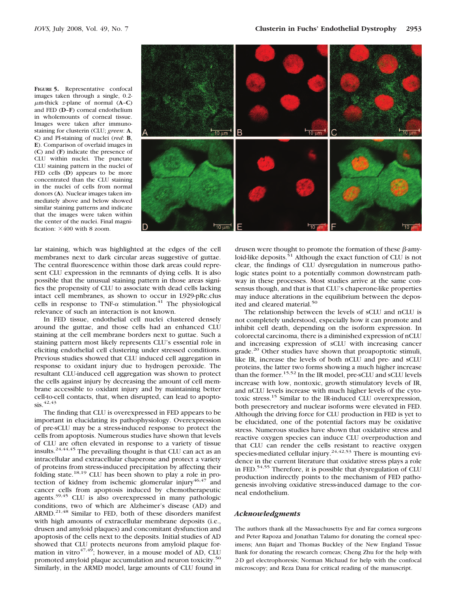**FIGURE 5.** Representative confocal images taken through a single, 0.2 m-thick *z*-plane of normal (**A**–**C**) and FED (**D**–**F**) corneal endothelium in wholemounts of corneal tissue. Images were taken after immunostaining for clusterin (CLU; *green*: **A**, **C**) and PI-staining of nuclei (*red*: **B**, **E**). Comparison of overlaid images in (**C**) and (**F**) indicate the presence of CLU within nuclei. The punctate CLU staining pattern in the nuclei of FED cells (**D**) appears to be more concentrated than the CLU staining in the nuclei of cells from normal donors (**A**). Nuclear images taken immediately above and below showed similar staining patterns and indicate that the images were taken within the center of the nuclei. Final magnification:  $\times$  400 with 8 zoom.

![](_page_9_Figure_3.jpeg)

lar staining, which was highlighted at the edges of the cell membranes next to dark circular areas suggestive of guttae. The central fluorescence within those dark areas could represent CLU expression in the remnants of dying cells. It is also possible that the unusual staining pattern in those areas signifies the propensity of CLU to associate with dead cells lacking intact cell membranes, as shown to occur in L929-pRc.clus cells in response to TNF- $\alpha$  stimulation.<sup>41</sup> The physiological relevance of such an interaction is not known.

In FED tissue, endothelial cell nuclei clustered densely around the guttae, and those cells had an enhanced CLU staining at the cell membrane borders next to guttae. Such a staining pattern most likely represents CLU's essential role in eliciting endothelial cell clustering under stressed conditions. Previous studies showed that CLU induced cell aggregation in response to oxidant injury due to hydrogen peroxide. The resultant CLU-induced cell aggregation was shown to protect the cells against injury by decreasing the amount of cell membrane accessible to oxidant injury and by maintaining better cell-to-cell contacts, that, when disrupted, can lead to apoptosis.<sup>42,43</sup>

The finding that CLU is overexpressed in FED appears to be important in elucidating its pathophysiology. Overexpression of pre-sCLU may be a stress-induced response to protect the cells from apoptosis. Numerous studies have shown that levels of CLU are often elevated in response to a variety of tissue insults.24,44,45 The prevailing thought is that CLU can act as an intracellular and extracellular chaperone and protect a variety of proteins from stress-induced precipitation by affecting their folding state.<sup>18,19</sup> CLU has been shown to play a role in protection of kidney from ischemic glomerular injury<sup>46,47</sup> and cancer cells from apoptosis induced by chemotherapeutic agents.39,45 CLU is also overexpressed in many pathologic conditions, two of which are Alzheimer's disease (AD) and ARMD.<sup>21,48</sup> Similar to FED, both of these disorders manifest with high amounts of extracellular membrane deposits (i.e., drusen and amyloid plaques) and concomitant dysfunction and apoptosis of the cells next to the deposits. Initial studies of AD showed that CLU protects neurons from amyloid plaque formation in vitro $47,49$ ; however, in a mouse model of AD, CLU promoted amyloid plaque accumulation and neuron toxicity.<sup>50</sup> Similarly, in the ARMD model, large amounts of CLU found in

drusen were thought to promote the formation of these  $\beta$ -amyloid-like deposits.<sup>51</sup> Although the exact function of CLU is not clear, the findings of CLU dysregulation in numerous pathologic states point to a potentially common downstream pathway in these processes. Most studies arrive at the same consensus though, and that is that CLU's chaperone-like properties may induce alterations in the equilibrium between the deposited and cleared material.<sup>50</sup>

The relationship between the levels of sCLU and nCLU is not completely understood, especially how it can promote and inhibit cell death, depending on the isoform expression. In colorectal carcinoma, there is a diminished expression of nCLU and increasing expression of sCLU with increasing cancer grade.<sup>20</sup> Other studies have shown that proapoptotic stimuli, like IR, increase the levels of both nCLU and pre- and sCLU proteins, the latter two forms showing a much higher increase than the former.<sup>15,52</sup> In the IR model, pre-sCLU and sCLU levels increase with low, nontoxic, growth stimulatory levels of IR, and nCLU levels increase with much higher levels of the cytotoxic stress.15 Similar to the IR-induced CLU overexpression, both presecretory and nuclear isoforms were elevated in FED. Although the driving force for CLU production in FED is yet to be elucidated, one of the potential factors may be oxidative stress. Numerous studies have shown that oxidative stress and reactive oxygen species can induce CLU overproduction and that CLU can render the cells resistant to reactive oxygen species-mediated cellular injury.<sup>24,42,53</sup> There is mounting evidence in the current literature that oxidative stress plays a role in FED.54,55 Therefore, it is possible that dysregulation of CLU production indirectly points to the mechanism of FED pathogenesis involving oxidative stress-induced damage to the corneal endothelium.

#### *Acknowledgments*

The authors thank all the Massachusetts Eye and Ear cornea surgeons and Peter Rapoza and Jonathan Talamo for donating the corneal specimens; Ann Bajart and Thomas Buckley of the New England Tissue Bank for donating the research corneas; Cheng Zhu for the help with 2-D gel electrophoresis; Norman Michaud for help with the confocal microscopy; and Reza Dana for critical reading of the manuscript.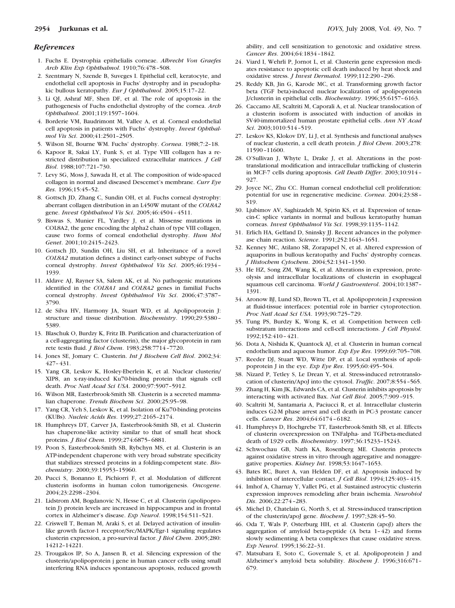#### *References*

- 1. Fuchs E. Dystrophia epithelialis corneae. *Albrecht Von Graefes Arch Klin Exp Ophthalmol*. 1910;76:478–508.
- 2. Szentmary N, Szende B, Suveges I. Epithelial cell, keratocyte, and endothelial cell apoptosis in Fuchs' dystrophy and in pseudophakic bullous keratopathy. *Eur J Ophthalmol*. 2005;15:17–22.
- 3. Li QJ, Ashraf MF, Shen DF, et al. The role of apoptosis in the pathogenesis of Fuchs endothelial dystrophy of the cornea. *Arch Ophthalmol*. 2001;119:1597–1604.
- 4. Borderie VM, Baudrimont M, Vallee A, et al. Corneal endothelial cell apoptosis in patients with Fuchs' dystrophy. *Invest Ophthalmol Vis Sci*. 2000;41:2501–2505.
- 5. Wilson SE, Bourne WM. Fuchs' dystrophy. *Cornea*. 1988;7:2–18.
- 6. Kapoor R, Sakai LY, Funk S, et al. Type VIII collagen has a restricted distribution in specialized extracellular matrices. *J Cell Biol*. 1988;107:721–730.
- 7. Levy SG, Moss J, Sawada H, et al. The composition of wide-spaced collagen in normal and diseased Descemet's membrane. *Curr Eye Res*. 1996;15:45–52.
- 8. Gottsch JD, Zhang C, Sundin OH, et al. Fuchs corneal dystrophy: aberrant collagen distribution in an L450W mutant of the *COL8A2* gene. *Invest Ophthalmol Vis Sci*. 2005;46:4504–4511.
- 9. Biswas S, Munier FL, Yardley J, et al. Missense mutations in COL8A2, the gene encoding the alpha2 chain of type VIII collagen, cause two forms of corneal endothelial dystrophy. *Hum Mol Genet*. 2001;10:2415–2423.
- 10. Gottsch JD, Sundin OH, Liu SH, et al. Inheritance of a novel *COL8A2* mutation defines a distinct early-onset subtype of Fuchs corneal dystrophy. *Invest Ophthalmol Vis Sci*. 2005;46:1934– 1939.
- 11. Aldave AJ, Rayner SA, Salem AK, et al. No pathogenic mutations identified in the *COL8A1* and *COL8A2* genes in familial Fuchs corneal dystrophy. *Invest Ophthalmol Vis Sci*. 2006;47:3787– 3790.
- 12. de Silva HV, Harmony JA, Stuart WD, et al. Apolipoprotein J: structure and tissue distribution. *Biochemistry*. 1990;29:5380– 5389.
- 13. Blaschuk O, Burdzy K, Fritz IB. Purification and characterization of a cell-aggregating factor (clusterin), the major glycoprotein in ram rete testis fluid. *J Biol Chem*. 1983;258:7714–7720.
- 14. Jones SE, Jomary C. Clusterin. *Int J Biochem Cell Biol*. 2002;34: 427–431.
- 15. Yang CR, Leskov K, Hosley-Eberlein K, et al. Nuclear clusterin/ XIP8, an x-ray-induced Ku70-binding protein that signals cell death. *Proc Natl Acad Sci USA*. 2000;97:5907–5912.
- 16. Wilson MR, Easterbrook-Smith SB. Clusterin is a secreted mammalian chaperone. *Trends Biochem Sci*. 2000;25:95–98.
- 17. Yang CR, Yeh S, Leskov K, et al. Isolation of Ku70-binding proteins (KUBs). *Nucleic Acids Res*. 1999;27:2165–2174.
- 18. Humphreys DT, Carver JA, Easterbrook-Smith SB, et al. Clusterin has chaperone-like activity similar to that of small heat shock proteins. *J Biol Chem*. 1999;274:6875–6881.
- 19. Poon S, Easterbrook-Smith SB, Rybchyn MS, et al. Clusterin is an ATP-independent chaperone with very broad substrate specificity that stabilizes stressed proteins in a folding-competent state. *Biochemistry*. 2000;39:15953–15960.
- 20. Pucci S, Bonanno E, Pichiorri F, et al. Modulation of different clusterin isoforms in human colon tumorigenesis. *Oncogene*. 2004;23:2298–2304.
- 21. Lidstrom AM, Bogdanovic N, Hesse C, et al. Clusterin (apolipoprotein J) protein levels are increased in hippocampus and in frontal cortex in Alzheimer's disease. *Exp Neurol*. 1998;154:511–521.
- 22. Criswell T, Beman M, Araki S, et al. Delayed activation of insulinlike growth factor-1 receptor/Src/MAPK/Egr-1 signaling regulates clusterin expression, a pro-survival factor. *J Biol Chem*. 2005;280: 14212–14221.
- 23. Trougakos IP, So A, Jansen B, et al. Silencing expression of the clusterin/apolipoprotein j gene in human cancer cells using small interfering RNA induces spontaneous apoptosis, reduced growth

ability, and cell sensitization to genotoxic and oxidative stress. *Cancer Res*. 2004;64:1834–1842.

- 24. Viard I, Wehrli P, Jornot L, et al. Clusterin gene expression mediates resistance to apoptotic cell death induced by heat shock and oxidative stress. *J Invest Dermatol*. 1999;112:290–296.
- 25. Reddy KB, Jin G, Karode MC, et al. Transforming growth factor beta (TGF beta)-induced nuclear localization of apolipoprotein J/clusterin in epithelial cells. *Biochemistry*. 1996;35:6157–6163.
- 26. Caccamo AE, Scaltriti M, Caporali A, et al. Nuclear translocation of a clusterin isoform is associated with induction of anoikis in SV40-immortalized human prostate epithelial cells. *Ann NY Acad Sci*. 2003;1010:514–519.
- 27. Leskov KS, Klokov DY, Li J, et al. Synthesis and functional analyses of nuclear clusterin, a cell death protein. *J Biol Chem*. 2003;278: 11590–11600.
- 28. O'Sullivan J, Whyte L, Drake J, et al. Alterations in the posttranslational modification and intracellular trafficking of clusterin in MCF-7 cells during apoptosis. *Cell Death Differ*. 2003;10:914– 927.
- 29. Joyce NC, Zhu CC. Human corneal endothelial cell proliferation: potential for use in regenerative medicine. *Cornea*. 2004;23:S8– S19.
- 30. Ljubimov AV, Saghizadeh M, Spirin KS, et al. Expression of tenascin-C splice variants in normal and bullous keratopathy human corneas. *Invest Ophthalmol Vis Sci*. 1998;39:1135–1142.
- 31. Erlich HA, Gelfand D, Sninsky JJ. Recent advances in the polymerase chain reaction. *Science*. 1991;252:1643–1651.
- 32. Kenney MC, Atilano SR, Zorapapel N, et al. Altered expression of aquaporins in bullous keratopathy and Fuchs' dystrophy corneas. *J Histochem Cytochem*. 2004;52:1341–1350.
- 33. He HZ, Song ZM, Wang K, et al. Alterations in expression, proteolysis and intracellular localizations of clusterin in esophageal squamous cell carcinoma. *World J Gastroenterol*. 2004;10:1387– 1391.
- 34. Aronow BJ, Lund SD, Brown TL, et al. Apolipoprotein J expression at fluid-tissue interfaces: potential role in barrier cytoprotection. *Proc Natl Acad Sci USA*. 1993;90:725–729.
- 35. Tung PS, Burdzy K, Wong K, et al. Competition between cellsubstratum interactions and cell-cell interactions. *J Cell Physiol*. 1992;152:410–421.
- 36. Dota A, Nishida K, Quantock AJ, et al. Clusterin in human corneal endothelium and aqueous humor. *Exp Eye Res*. 1999;69:705–708.
- 37. Reeder DJ, Stuart WD, Witte DP, et al. Local synthesis of apolipoprotein J in the eye. *Exp Eye Res*. 1995;60:495–504.
- 38. Nizard P, Tetley S, Le Drean Y, et al. Stress-induced retrotranslocation of clusterin/ApoJ into the cytosol. *Traffic*. 2007;8:554–565.
- 39. Zhang H, Kim JK, Edwards CA, et al. Clusterin inhibits apoptosis by interacting with activated Bax. *Nat Cell Biol*. 2005;7:909–915.
- 40. Scaltriti M, Santamaria A, Paciucci R, et al. Intracellular clusterin induces G2-M phase arrest and cell death in PC-3 prostate cancer cells. *Cancer Res*. 2004;64:6174–6182.
- 41. Humphreys D, Hochgrebe TT, Easterbrook-Smith SB, et al. Effects of clusterin overexpression on TNFalpha- and TGFbeta-mediated death of L929 cells. *Biochemistry*. 1997;36:15233–15243.
- 42. Schwochau GB, Nath KA, Rosenberg ME. Clusterin protects against oxidative stress in vitro through aggregative and nonaggregative properties. *Kidney Int*. 1998;53:1647–1653.
- 43. Bates RC, Buret A, van Helden DF, et al. Apoptosis induced by inhibition of intercellular contact. *J Cell Biol*. 1994;125:403–415.
- 44. Imhof A, Charnay Y, Vallet PG, et al. Sustained astrocytic clusterin expression improves remodeling after brain ischemia. *Neurobiol Dis*. 2006;22:274–283.
- 45. Michel D, Chatelain G, North S, et al. Stress-induced transcription of the clusterin/apoJ gene. *Biochem J*. 1997;328:45–50.
- 46. Oda T, Wals P, Osterburg HH, et al. Clusterin (apoJ) alters the aggregation of amyloid beta-peptide (A beta 1–42) and forms slowly sedimenting A beta complexes that cause oxidative stress. *Exp Neurol*. 1995;136:22–31.
- 47. Matsubara E, Soto C, Governale S, et al. Apolipoprotein J and Alzheimer's amyloid beta solubility. *Biochem J*. 1996;316:671– 679.